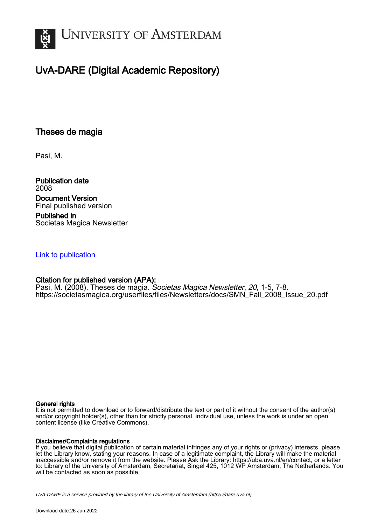

# UvA-DARE (Digital Academic Repository)

## Theses de magia

Pasi, M.

Publication date 2008 Document Version Final published version

Published in Societas Magica Newsletter

#### [Link to publication](https://dare.uva.nl/personal/pure/en/publications/theses-de-magia(2d8ad8da-4616-4312-a5b0-a80b5b601aed).html)

### Citation for published version (APA):

Pasi, M. (2008). Theses de magia. *Societas Magica Newsletter, 20,* 1-5, 7-8. [https://societasmagica.org/userfiles/files/Newsletters/docs/SMN\\_Fall\\_2008\\_Issue\\_20.pdf](https://societasmagica.org/userfiles/files/Newsletters/docs/SMN_Fall_2008_Issue_20.pdf)

#### General rights

It is not permitted to download or to forward/distribute the text or part of it without the consent of the author(s) and/or copyright holder(s), other than for strictly personal, individual use, unless the work is under an open content license (like Creative Commons).

#### Disclaimer/Complaints regulations

If you believe that digital publication of certain material infringes any of your rights or (privacy) interests, please let the Library know, stating your reasons. In case of a legitimate complaint, the Library will make the material inaccessible and/or remove it from the website. Please Ask the Library: https://uba.uva.nl/en/contact, or a letter to: Library of the University of Amsterdam, Secretariat, Singel 425, 1012 WP Amsterdam, The Netherlands. You will be contacted as soon as possible.

UvA-DARE is a service provided by the library of the University of Amsterdam (http*s*://dare.uva.nl)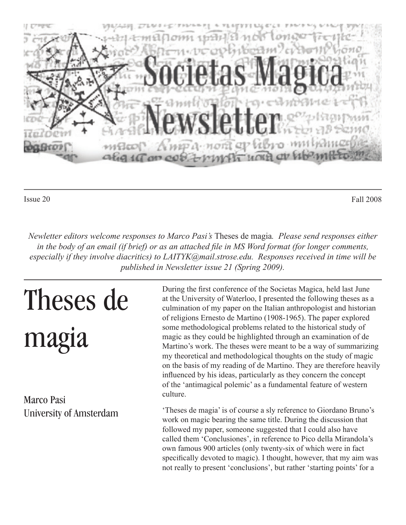

Issue 20 Fall 2008

*Newletter editors welcome responses to Marco Pasi's* Theses de magia*. Please send responses either in the body of an email (if brief) or as an attached file in MS Word format (for longer comments, especially if they involve diacritics) to LAITYK@mail.strose.edu. Responses received in time will be published in Newsletter issue 21 (Spring 2009).*

# Theses de magia

Marco Pasi University of Amsterdam During the first conference of the Societas Magica, held last June at the University of Waterloo, I presented the following theses as a culmination of my paper on the Italian anthropologist and historian of religions Ernesto de Martino (1908-1965). The paper explored some methodological problems related to the historical study of magic as they could be highlighted through an examination of de Martino's work. The theses were meant to be a way of summarizing my theoretical and methodological thoughts on the study of magic on the basis of my reading of de Martino. They are therefore heavily influenced by his ideas, particularly as they concern the concept of the 'antimagical polemic' as a fundamental feature of western culture.

'Theses de magia' is of course a sly reference to Giordano Bruno's work on magic bearing the same title. During the discussion that followed my paper, someone suggested that I could also have called them 'Conclusiones', in reference to Pico della Mirandola's own famous 900 articles (only twenty-six of which were in fact specifically devoted to magic). I thought, however, that my aim was not really to present 'conclusions', but rather 'starting points' for a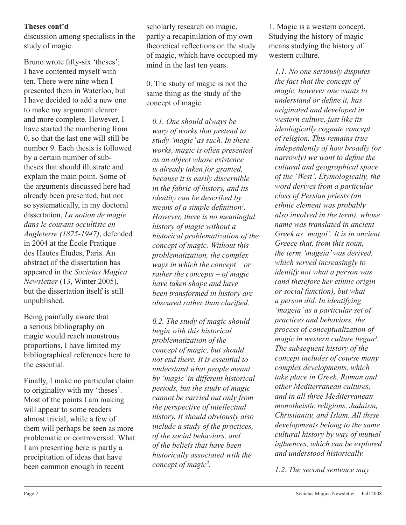discussion among specialists in the study of magic.

Bruno wrote fifty-six 'theses'; I have contented myself with ten. There were nine when I presented them in Waterloo, but I have decided to add a new one to make my argument clearer and more complete. However, I have started the numbering from 0, so that the last one will still be number 9. Each thesis is followed by a certain number of subtheses that should illustrate and explain the main point. Some of the arguments discussed here had already been presented, but not so systematically, in my doctoral dissertation, *La notion de magie dans le courant occultiste en Angleterre (1875-1947)*, defended in 2004 at the École Pratique des Hautes Études, Paris. An abstract of the dissertation has appeared in the *Societas Magica Newsletter* (13, Winter 2005), but the dissertation itself is still unpublished.

Being painfully aware that a serious bibliography on magic would reach monstrous proportions, I have limited my bibliographical references here to the essential.

Finally, I make no particular claim to originality with my 'theses'. Most of the points I am making will appear to some readers almost trivial, while a few of them will perhaps be seen as more problematic or controversial. What I am presenting here is partly a precipitation of ideas that have been common enough in recent

scholarly research on magic, partly a recapitulation of my own theoretical reflections on the study of magic, which have occupied my mind in the last ten years.

0. The study of magic is not the same thing as the study of the concept of magic.

*0.1. One should always be wary of works that pretend to study 'magic' as such. In these works, magic is often presented as an object whose existence is already taken for granted, because it is easily discernible in the fabric of history, and its identity can be described by means of a simple definition<sup>1</sup>. However, there is no meaningful history of magic without a historical problematization of the concept of magic. Without this problematization, the complex ways in which the concept – or rather the concepts – of magic have taken shape and have been transformed in history are obscured rather than clarified.* 

*0.2. The study of magic should begin with this historical problematization of the concept of magic, but should not end there. It is essential to understand what people meant by 'magic' in different historical periods, but the study of magic cannot be carried out only from the perspective of intellectual history. It should obviously also include a study of the practices, of the social behaviors, and of the beliefs that have been historically associated with the concept of magic2 .*

1. Magic is a western concept. Studying the history of magic means studying the history of western culture.

*1.1. No one seriously disputes the fact that the concept of magic, however one wants to understand or define it, has originated and developed in western culture, just like its ideologically cognate concept of religion. This remains true independently of how broadly (or narrowly*) we want to define the *cultural and geographical space of the 'West'. Etymologically, the word derives from a particular class of Persian priests (an ethnic element was probably also involved in the term), whose name was translated in ancient Greek as 'magoi'. It is in ancient Greece that, from this noun, the term 'mageia' was derived, which served increasingly to identify not what a person was (and therefore her ethnic origin or social function), but what a person did. In identifying 'mageia' as a particular set of practices and behaviors, the process of conceptualization of magic in western culture began3 . The subsequent history of the concept includes of course many complex developments, which take place in Greek, Roman and other Mediterranean cultures, and in all three Mediterranean monotheistic religions, Judaism, Christianity, and Islam. All these developments belong to the same cultural history by way of mutual infl uences, which can be explored and understood historically.*

*1.2. The second sentence may*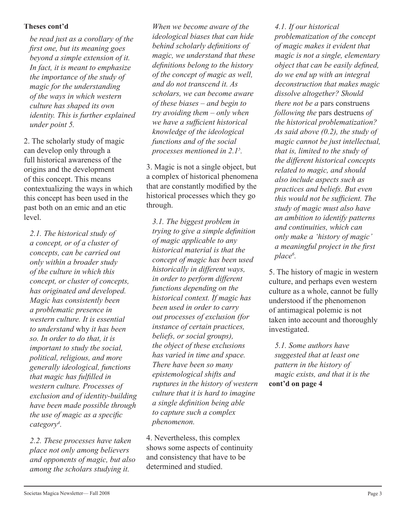*be read just as a corollary of the fi rst one, but its meaning goes beyond a simple extension of it. In fact, it is meant to emphasize the importance of the study of magic for the understanding of the ways in which western culture has shaped its own identity. This is further explained under point 5.*

2. The scholarly study of magic can develop only through a full historical awareness of the origins and the development of this concept. This means contextualizing the ways in which this concept has been used in the past both on an emic and an etic level.

*2.1. The historical study of a concept, or of a cluster of concepts, can be carried out only within a broader study of the culture in which this concept, or cluster of concepts, has originated and developed. Magic has consistently been a problematic presence in western culture. It is essential to understand* why *it has been so. In order to do that, it is important to study the social, political, religious, and more generally ideological, functions that magic has fulfi lled in western culture. Processes of exclusion and of identity-building have been made possible through the use of magic as a specific category4 .*

*2.2. These processes have taken place not only among believers and opponents of magic, but also among the scholars studying it.* 

*When we become aware of the ideological biases that can hide behind scholarly defi nitions of magic, we understand that these defi nitions belong to the history of the concept of magic as well, and do not transcend it. As scholars, we can become aware of these biases – and begin to try avoiding them – only when we have a sufficient historical knowledge of the ideological functions and of the social processes mentioned in 2.15 .*

3. Magic is not a single object, but a complex of historical phenomena that are constantly modified by the historical processes which they go through.

*3.1. The biggest problem in trying to give a simple definition of magic applicable to any historical material is that the concept of magic has been used historically in different ways, in order to perform different functions depending on the historical context. If magic has been used in order to carry out processes of exclusion (for instance of certain practices, beliefs, or social groups), the object of these exclusions has varied in time and space. There have been so many epistemological shifts and ruptures in the history of western culture that it is hard to imagine a single definition being able to capture such a complex phenomenon.*

4. Nevertheless, this complex shows some aspects of continuity and consistency that have to be determined and studied.

*4.1. If our historical problematization of the concept of magic makes it evident that magic is not a single, elementary object that can be easily defined, do we end up with an integral deconstruction that makes magic dissolve altogether? Should there not be a* pars construens *following the* pars destruens *of the historical problematization? As said above (0.2), the study of magic cannot be just intellectual, that is, limited to the study of the different historical concepts related to magic, and should also include aspects such as practices and beliefs. But even this would not be sufficient. The study of magic must also have an ambition to identify patterns and continuities, which can only make a 'history of magic' a* meaningful project in the first *place6 .*

5. The history of magic in western culture, and perhaps even western culture as a whole, cannot be fully understood if the phenomenon of antimagical polemic is not taken into account and thoroughly investigated.

**cont'd on page 4** *5.1. Some authors have suggested that at least one pattern in the history of magic exists, and that it is the*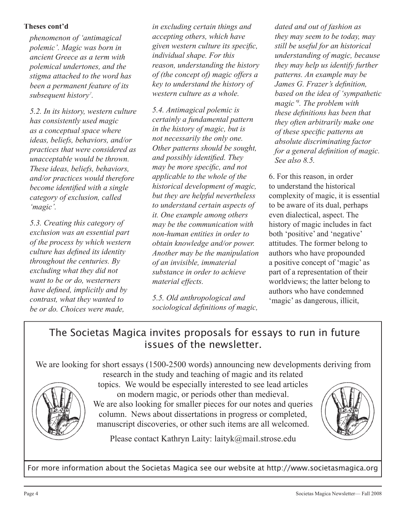*phenomenon of 'antimagical polemic'. Magic was born in ancient Greece as a term with polemical undertones, and the stigma attached to the word has been a permanent feature of its*  subsequent history<sup>7</sup>.

*5.2. In its history, western culture has consistently used magic as a conceptual space where ideas, beliefs, behaviors, and/or practices that were considered as unacceptable would be thrown. These ideas, beliefs, behaviors, and/or practices would therefore become identified with a single category of exclusion, called 'magic'.*

*5.3. Creating this category of exclusion was an essential part of the process by which western culture has defined its identity throughout the centuries. By excluding what they did not want to be or do, westerners have defined, implicitly and by contrast, what they wanted to be or do. Choices were made,* 

**Theses cont'd** *in excluding certain things and dated and out of fashion as accepting others, which have given western culture its specific, individual shape. For this reason, understanding the history of (the concept of) magic offers a key to understand the history of western culture as a whole.*

> *5.4. Antimagical polemic is certainly a fundamental pattern in the history of magic, but is not necessarily the only one. Other patterns should be sought, and possibly identified. They may be more specific, and not applicable to the whole of the historical development of magic, but they are helpful nevertheless to understand certain aspects of it. One example among others may be the communication with non-human entities in order to obtain knowledge and/or power. Another may be the manipulation of an invisible, immaterial substance in order to achieve material effects.*

*5.5. Old anthropological and sociological definitions of magic,* 

*they may seem to be today, may still be useful for an historical understanding of magic, because they may help us identify further patterns. An example may be James G. Frazer's definition, based on the idea of 'sympathetic magic'8 . The problem with these definitions has been that they often arbitrarily make one of these specific patterns an absolute discriminating factor for a general definition of magic. See also 8.5.*

6. For this reason, in order to understand the historical complexity of magic, it is essential to be aware of its dual, perhaps even dialectical, aspect. The history of magic includes in fact both 'positive' and 'negative' attitudes. The former belong to authors who have propounded a positive concept of 'magic' as part of a representation of their worldviews; the latter belong to authors who have condemned 'magic' as dangerous, illicit,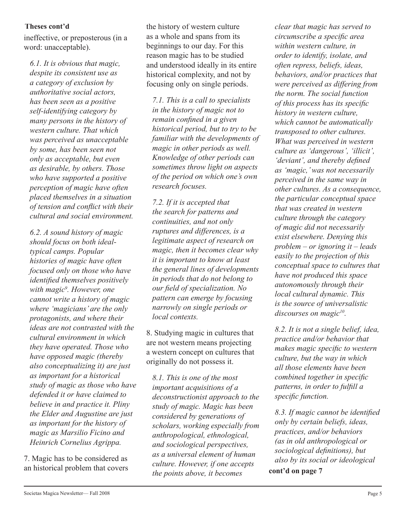ineffective, or preposterous (in a word: unacceptable).

*6.1. It is obvious that magic, despite its consistent use as a category of exclusion by authoritative social actors, has been seen as a positive self-identifying category by many persons in the history of western culture. That which was perceived as unacceptable by some, has been seen not only as acceptable, but even as desirable, by others. Those who have supported a positive perception of magic have often placed themselves in a situation*   $of$  tension and conflict with their *cultural and social environment.*

*6.2. A sound history of magic should focus on both idealtypical camps. Popular histories of magic have often focused only on those who have identified themselves positively with magic9 . However, one cannot write a history of magic where 'magicians' are the only protagonists, and where their ideas are not contrasted with the cultural environment in which they have operated. Those who have opposed magic (thereby also conceptualizing it) are just as important for a historical study of magic as those who have defended it or have claimed to believe in and practice it. Pliny the Elder and Augustine are just as important for the history of magic as Marsilio Ficino and Heinrich Cornelius Agrippa.*

7. Magic has to be considered as

the history of western culture as a whole and spans from its beginnings to our day. For this reason magic has to be studied and understood ideally in its entire historical complexity, and not by focusing only on single periods.

*7.1. This is a call to specialists in the history of magic not to remain confined in a given historical period, but to try to be familiar with the developments of magic in other periods as well. Knowledge of other periods can sometimes throw light on aspects of the period on which one's own research focuses.*

*7.2. If it is accepted that the search for patterns and continuities, and not only ruptures and differences, is a legitimate aspect of research on magic, then it becomes clear why it is important to know at least the general lines of developments in periods that do not belong to our fi eld of specialization. No pattern can emerge by focusing narrowly on single periods or local contexts.*

8. Studying magic in cultures that are not western means projecting a western concept on cultures that originally do not possess it.

an historical problem that covers<br>the points above it becomes **cont'd on page 7** *8.1. This is one of the most important acquisitions of a deconstructionist approach to the study of magic. Magic has been considered by generations of scholars, working especially from anthropological, ethnological, and sociological perspectives, as a universal element of human culture. However, if one accepts the points above, it becomes* 

*clear that magic has served to circumscribe a specifi c area within western culture, in order to identify, isolate, and often repress, beliefs, ideas, behaviors, and/or practices that were perceived as differing from the norm. The social function of this process has its specific history in western culture, which cannot be automatically transposed to other cultures. What was perceived in western culture as 'dangerous', 'illicit',*  '*deviant'*, and thereby defined *as 'magic,' was not necessarily perceived in the same way in other cultures. As a consequence, the particular conceptual space that was created in western culture through the category of magic did not necessarily exist elsewhere. Denying this problem – or ignoring it – leads easily to the projection of this conceptual space to cultures that have not produced this space autonomously through their local cultural dynamic. This is the source of universalistic discourses on magic10.*

*8.2. It is not a single belief, idea, practice and/or behavior that makes magic specific to western culture, but the way in which all those elements have been combined together in specific patterns, in order to fulfill a specific function.* 

8.3. If magic cannot be identified *only by certain beliefs, ideas, practices, and/or behaviors (as in old anthropological or sociological defi nitions), but also by its social or ideological*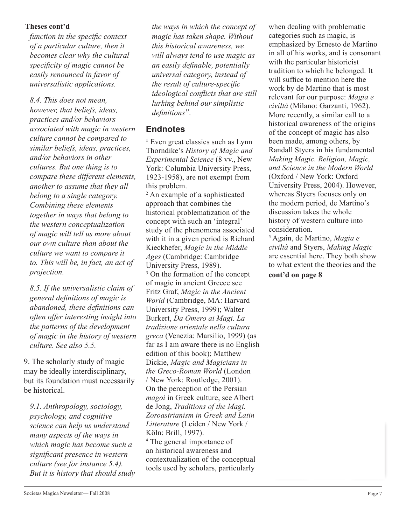*function in the specific context of a particular culture, then it becomes clear why the cultural specifi city of magic cannot be easily renounced in favor of universalistic applications.*

*8.4. This does not mean, however, that beliefs, ideas, practices and/or behaviors associated with magic in western culture cannot be compared to similar beliefs, ideas, practices, and/or behaviors in other cultures. But one thing is to compare these different elements, another to assume that they all belong to a single category. Combining these elements together in ways that belong to the western conceptualization of magic will tell us more about our own culture than about the culture we want to compare it to. This will be, in fact, an act of projection.*

*8.5. If the universalistic claim of general defi nitions of magic is abandoned, these definitions can often offer interesting insight into the patterns of the development of magic in the history of western culture. See also 5.5.*

9. The scholarly study of magic may be ideally interdisciplinary, but its foundation must necessarily be historical.

*9.1. Anthropology, sociology, psychology, and cognitive science can help us understand many aspects of the ways in which magic has become such a signifi cant presence in western culture (see for instance 5.4). But it is history that should study* 

**Theses cont'd** the ways in which the concept of when dealing with problematic *magic has taken shape. Without this historical awareness, we will always tend to use magic as an easily definable, potentially universal category, instead of the result of culture-specific ideological conflicts that are still lurking behind our simplistic definitions<sup>11</sup>.* 

## **Endnotes**

**1** Even great classics such as Lynn Thorndike's *History of Magic and Experimental Science* (8 vv., New York: Columbia University Press, 1923-1958), are not exempt from this problem.

2 An example of a sophisticated approach that combines the historical problematization of the concept with such an 'integral' study of the phenomena associated with it in a given period is Richard Kieckhefer, *Magic in the Middle Ages* (Cambridge: Cambridge University Press, 1989). <sup>3</sup> On the formation of the concept of magic in ancient Greece see Fritz Graf, *Magic in the Ancient World* (Cambridge, MA: Harvard University Press, 1999); Walter Burkert, *Da Omero ai Magi. La tradizione orientale nella cultura greca* (Venezia: Marsilio, 1999) (as far as I am aware there is no English edition of this book); Matthew Dickie, *Magic and Magicians in the Greco-Roman World* (London (London / New York: Routledge, 2001). On the perception of the Persian *magoi* in Greek culture, see Albert de Jong, *Traditions of the Magi. Zoroastrianism in Greek and Latin Litterature* (Leiden / New York / Köln: Brill, 1997). 4 The general importance of an historical awareness and contextualization of the conceptual tools used by scholars, particularly

categories such as magic, is emphasized by Ernesto de Martino in all of his works, and is consonant with the particular historicist tradition to which he belonged. It will suffice to mention here the work by de Martino that is most relevant for our purpose: *Magia e civiltà* (Milano: Garzanti, 1962). More recently, a similar call to a historical awareness of the origins of the concept of magic has also been made, among others, by Randall Styers in his fundamental *Making Magic. Religion, Magic, and Science in the Modern World* (Oxford / New York: Oxford University Press, 2004). However, whereas Styers focuses only on the modern period, de Martino's discussion takes the whole history of western culture into consideration.

5 Again, de Martino, *Magia e civiltà* and Styers, *Making Magic* are essential here. They both show to what extent the theories and the

**cont'd on page 8**